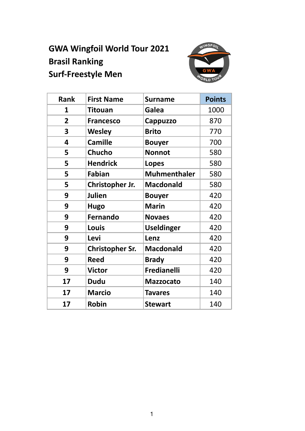# **GWA Wingfoil World Tour 2021 Brasil Ranking Surf-Freestyle Men**



| <b>Rank</b>    | <b>First Name</b>      | <b>Surname</b>      | <b>Points</b> |
|----------------|------------------------|---------------------|---------------|
| 1              | <b>Titouan</b>         | Galea               | 1000          |
| $\overline{2}$ | <b>Francesco</b>       | Cappuzzo            | 870           |
| 3              | <b>Wesley</b>          | <b>Brito</b>        | 770           |
| 4              | <b>Camille</b>         | <b>Bouyer</b>       | 700           |
| 5              | <b>Chucho</b>          | <b>Nonnot</b>       | 580           |
| 5              | <b>Hendrick</b>        | <b>Lopes</b>        | 580           |
| 5              | <b>Fabian</b>          | <b>Muhmenthaler</b> | 580           |
| 5              | Christopher Jr.        | <b>Macdonald</b>    | 580           |
| 9              | <b>Julien</b>          | <b>Bouyer</b>       | 420           |
| 9              | <b>Hugo</b>            | <b>Marin</b>        | 420           |
| 9              | <b>Fernando</b>        | <b>Novaes</b>       | 420           |
| 9              | Louis                  | <b>Useldinger</b>   | 420           |
| 9              | Levi                   | Lenz                | 420           |
| 9              | <b>Christopher Sr.</b> | <b>Macdonald</b>    | 420           |
| 9              | <b>Reed</b>            | <b>Brady</b>        | 420           |
| 9              | <b>Victor</b>          | Fredianelli         | 420           |
| 17             | <b>Dudu</b>            | <b>Mazzocato</b>    | 140           |
| 17             | <b>Marcio</b>          | <b>Tavares</b>      | 140           |
| 17             | <b>Robin</b>           | <b>Stewart</b>      | 140           |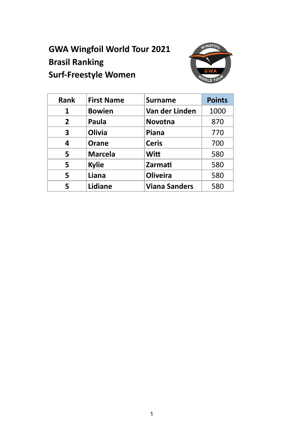# **GWA Wingfoil World Tour 2021 Brasil Ranking Surf-Freestyle Women**



| <b>Rank</b>    | <b>First Name</b> | <b>Surname</b>       | <b>Points</b> |
|----------------|-------------------|----------------------|---------------|
| 1              | <b>Bowien</b>     | Van der Linden       | 1000          |
| $\overline{2}$ | Paula             | Novotna              | 870           |
| 3              | <b>Olivia</b>     | Piana                | 770           |
| 4              | <b>Orane</b>      | <b>Ceris</b>         | 700           |
| 5              | <b>Marcela</b>    | <b>Witt</b>          | 580           |
| 5              | <b>Kylie</b>      | Zarmati              | 580           |
| 5              | Liana             | <b>Oliveira</b>      | 580           |
| 5              | Lidiane           | <b>Viana Sanders</b> | 580           |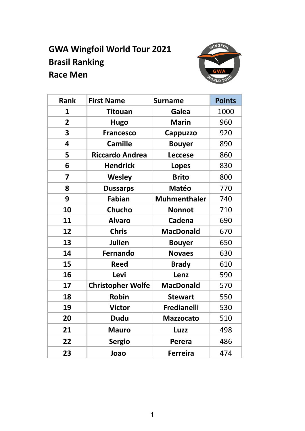# **GWA Wingfoil World Tour 2021 Brasil Ranking Race Men**



| <b>Rank</b>    | <b>First Name</b>        | <b>Surname</b>      | <b>Points</b> |
|----------------|--------------------------|---------------------|---------------|
| 1              | <b>Titouan</b>           | Galea               | 1000          |
| $\overline{2}$ | <b>Hugo</b>              | <b>Marin</b>        | 960           |
| 3              | <b>Francesco</b>         | Cappuzzo            | 920           |
| 4              | <b>Camille</b>           | <b>Bouyer</b>       | 890           |
| 5              | <b>Riccardo Andrea</b>   | <b>Leccese</b>      | 860           |
| 6              | <b>Hendrick</b>          | <b>Lopes</b>        | 830           |
| 7              | <b>Wesley</b>            | <b>Brito</b>        | 800           |
| 8              | <b>Dussarps</b>          | <b>Matéo</b>        | 770           |
| 9              | <b>Fabian</b>            | <b>Muhmenthaler</b> | 740           |
| 10             | <b>Chucho</b>            | <b>Nonnot</b>       | 710           |
| 11             | <b>Alvaro</b>            | <b>Cadena</b>       | 690           |
| 12             | <b>Chris</b>             | <b>MacDonald</b>    | 670           |
| 13             | <b>Julien</b>            | <b>Bouyer</b>       | 650           |
| 14             | <b>Fernando</b>          | <b>Novaes</b>       | 630           |
| 15             | <b>Reed</b>              | <b>Brady</b>        | 610           |
| 16             | Levi                     | Lenz                | 590           |
| 17             | <b>Christopher Wolfe</b> | <b>MacDonald</b>    | 570           |
| 18             | <b>Robin</b>             | <b>Stewart</b>      | 550           |
| 19             | <b>Victor</b>            | Fredianelli         | 530           |
| 20             | <b>Dudu</b>              | <b>Mazzocato</b>    | 510           |
| 21             | <b>Mauro</b>             | Luzz                | 498           |
| 22             | <b>Sergio</b>            | Perera              | 486           |
| 23             | Joao                     | <b>Ferreira</b>     | 474           |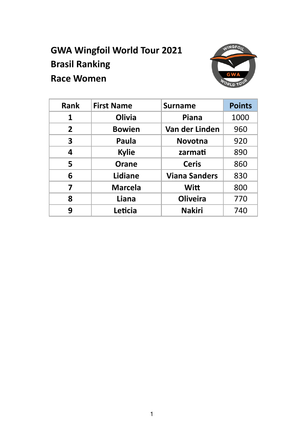# **GWA Wingfoil World Tour 2021 Brasil Ranking Race Women**



| <b>Rank</b>             | <b>First Name</b> | <b>Surname</b>       | <b>Points</b> |
|-------------------------|-------------------|----------------------|---------------|
| 1                       | <b>Olivia</b>     | Piana                | 1000          |
| 2 <sup>1</sup>          | <b>Bowien</b>     | Van der Linden       | 960           |
| 3                       | Paula             | <b>Novotna</b>       | 920           |
| 4                       | <b>Kylie</b>      | zarmati              | 890           |
| 5                       | Orane             | <b>Ceris</b>         | 860           |
| 6                       | Lidiane           | <b>Viana Sanders</b> | 830           |
| $\overline{\mathbf{z}}$ | <b>Marcela</b>    | <b>Witt</b>          | 800           |
| 8                       | Liana             | <b>Oliveira</b>      | 770           |
| 9                       | Leticia           | <b>Nakiri</b>        | 740           |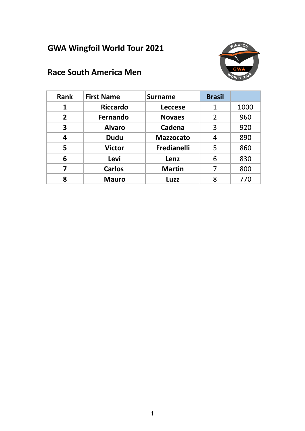## **GWA Wingfoil World Tour 2021**



#### **Race South America Men**

| <b>Rank</b>    | <b>First Name</b> | <b>Surname</b>     | <b>Brasil</b>  |      |
|----------------|-------------------|--------------------|----------------|------|
| 1              | <b>Riccardo</b>   | <b>Leccese</b>     | 1              | 1000 |
| $\overline{2}$ | Fernando          | <b>Novaes</b>      | $\overline{2}$ | 960  |
| 3              | <b>Alvaro</b>     | Cadena             | 3              | 920  |
| 4              | <b>Dudu</b>       | <b>Mazzocato</b>   | 4              | 890  |
| 5              | <b>Victor</b>     | <b>Fredianelli</b> | 5              | 860  |
| 6              | Levi              | Lenz               | 6              | 830  |
| 7              | <b>Carlos</b>     | <b>Martin</b>      | 7              | 800  |
| 8              | <b>Mauro</b>      | Luzz               | 8              | 770  |